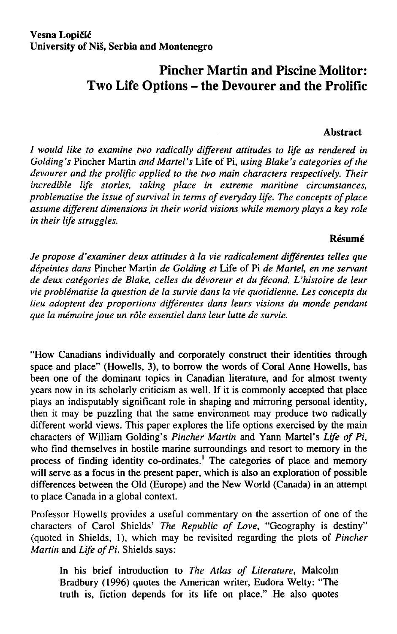# **Pincher Martin and Piscine Molitor: Two Life Options - the Devourer and the Prolific**

#### **Abstract**

*/ would like to examine two radically different attitudes to life as rendered in Golding 's* Pincher Martin *and Martel 's* Life of Pi, *using Blake 's categories of the devourer and the prolific applied to the two main characters respectively. Their incredible life stories, taking place in extreme maritime circumstances, problematise the issue of survival in terms of everyday life. The concepts of pláce assume different dimensions in their world visions while memory plays a key role in their life struggles.* 

#### **Résumé**

*Je propose ďexaminer deux attitudes á la vie radicalement différentes telles que dépeintes dans* Pincher Martin *de Golding et* Life of Pi *de Martel, en me servant de deux categories de Blake, celles du dévoreur et dufécond. Uhistoire de leur vie problematise la question de la survie dans la vie quotidienne. Les concepts du lieu adoptent des proportions différentes dans leurs visions du monde pendant que la mémoire joue un role essentiel dans leur lutte de survie.* 

"How Canadians individually and corporately construct their identities through space and place" (Howells, 3), to borrow the words of Coral Anne Howells, has been one of the dominant topics in Canadian literature, and for almost twenty years now in its scholarly criticism as well. If it is commonly accepted that place plays an indisputably significant role in shaping and mirroring personal identity, then it may be puzzling that the same environment may produce two radically different world views. This paper explores the life options exercised by the main characters of William Golding's *Pincher Martin* and Yann Martel's *Life of Pi,*  who find themselves in hostile marine surroundings and resort to memory in the process of finding identity co-ordinates.<sup>1</sup> The categories of place and memory will serve as a focus in the present paper, which is also an exploration of possible differences between the Old (Europe) and the New World (Canada) in an attempt to place Canada in a global context.

Professor Howells provides a useful commentary on the assertion of one of the characters of Carol Shields' *The Republic of Love,* "Geography is destiny" (quoted in Shields, 1), which may be revisited regarding the plots of *Pincher Martin* and *Life of Pi.* Shields says:

In his brief introduction to *The Atlas of Literature*, Malcolm Bradbury (1996) quotes the American writer, Eudora Welty: "The truth is, fiction depends for its life on pláce." He also quotes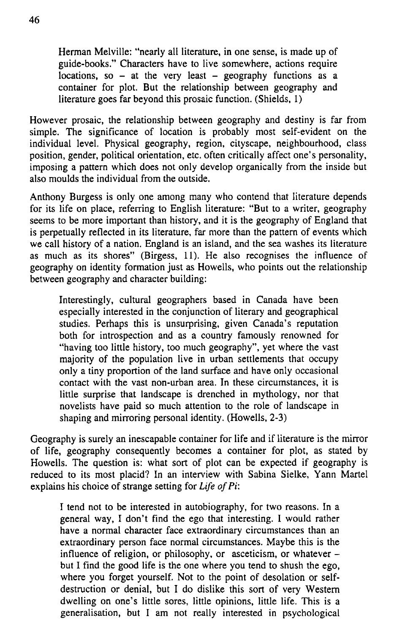Herman Melville: "nearly all literature, in one sense, is made up of guide-books." Characters have to live somewhere, actions require locations, so  $-$  at the very least  $-$  geography functions as a container for plot. But the relationship between geography and literature goes far beyond this prosaic function. (Shields, 1)

However prosaic, the relationship between geography and destiny is far from simple. The significance of location is probably most self-evident on the individual level. Physical geography, region, cityscape, neighbourhood, class position, gender, political orientation, etc. often critically affect one's personality, imposing a pattern which does not only develop organically from the inside but also moulds the individual from the outside.

Anthony Burgess is only one among many who contend that literature depends for its life on place, referring to English literature: "But to a writer, geography seems to be more important than history, and it is the geography of England that is perpetually reflected in its literature, far more than the pattern of events which we call history of a nation. England is an island, and the sea washes its literature as much as its shores" (Birgess, 11). He also recognises the influence of geography on identity formation just as Howells, who points out the relationship between geography and character building:

Interestingly, cultural geographers based in Canada have been especially interested in the conjunction of literary and geographical studies. Perhaps this is unsurprising, given Canada's reputation both for introspection and as a country famously renowned for "having too little history, too much geography", yet where the vast majority of the population live in urban settlements that occupy only a tiny proportion of the land surface and have only occasional contact with the vast non-urban area. In these circumstances, it is little surprise that landscape is drenched in mythology, nor that novelists have paid so much attention to the role of landscape in shaping and mirroring personal identity. (Howells, 2-3)

Geography is surely an inescapable container for life and if literatuře is the mirror of life, geography consequently becomes a container for plot, as stated by Howells. The question is: what sort of plot can be expected if geography is reduced to its most placid? In an interview with Sabina Sielke, Yann Martel explains his choice of strange setting for *Life of Pi:* 

I tend not to be interested in autobiography, for two reasons. In a generál way, I don't find the ego that interesting. I would rather have a normal character face extraordinary circumstances than an extraordinary person face normal circumstances. Maybe this is the influence of religion, or philosophy, or asceticism, or whatever  $$ but I find the good life is the one where you tend to shush the ego, where you forget yourself. Not to the point of desolation or selfdestruction or denial, but I do dislike this sort of very Western dwelling on one's little sores, little opinions, little life. This is a generalisation, but I am not really interested in psychological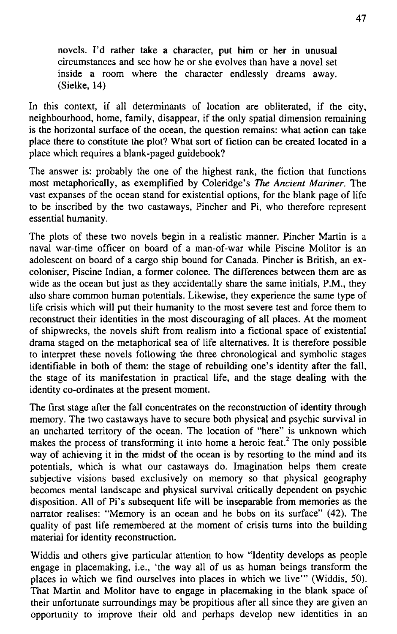novels. I'd rather take a character, put him or her in unusual circumstances and see how he or she evolves than have a novel set inside a room where the character endlessly dreams away. (Sielke, 14)

In this context, if all determinants of location are obliterated, if the city, neighbourhood, home, family, disappear, if the only spatial dimension remaining is the horizontal surface of the ocean, the question remains: what action can take pláce there to constitute the plot? What sort of fiction can be created located in a pláce which requires a blank-paged guidebook?

The answer is: probably the one of the highest rank, the fiction that functions most metaphorically, as exemplified by Coleridge's *The Ancient Mariner.* The vast expanses of the ocean stand for existential options, for the blank page of life to be inscribed by the two castaways, Pincher and Pi, who therefore represent essential humanity.

The plots of these two novels begin in a realistic manner. Pincher Martin is a naval war-time officer on board of a man-of-war while Piscine Molitor is an adolescent on board of a cargo ship bound for Canada. Pincher is British, an excoloniser, Piscine Indián, a former colonee. The differences between them are as wide as the ocean but just as they accidentally share the same initials,  $P.M.,$  they also share common human potentials. Likewise, they experience the same type of life crisis which will put their humanity to the most severe test and force them to reconstruct their identities in the most discouraging of all places. At the moment of shipwrecks, the novels shift from realism into a fictional space of existential drama staged on the metaphorical sea of life alternatives. It is therefore possible to interpret these novels following the three chronological and symbolic stages identifiable in both of them: the stage of rebuilding one's identity after the fall, the stage of its manifestation in practical life, and the stage dealing with the identity co-ordinates at the present moment.

The first stage after the fall concentrates on the reconstruction of identity through memory. The two castaways have to secure both physical and psychic survival in an uncharted territory of the ocean. The location of "here" is unknown which makes the process of transforming it into home a heroic feat.<sup>2</sup> The only possible way of achieving it in the midst of the ocean is by resorting to the mind and its potentials, which is what our castaways do. Imagination helps them create subjective visions based exclusively on memory so that physical geography becomes mental landscape and physical survival critically dependent on psychic disposition. All of Pi's subsequent life will be inseparable from memories as the narrator realises: "Memory is an ocean and he bobs on its surface" (42). The quality of past life remembered at the moment of crisis tums into the building materiál for identity reconstruction.

Widdis and others give particular attention to how "Identity develops as people engage in placemaking, i.e., 'the way all of us as human beings transform the places in which we find ourselves into places in which we live'" (Widdis, 50). That Martin and Molitor have to engage in placemaking in the blank space of their unfortunate surroundings may be propitious after all since they are given an opportunity to improve their old and perhaps develop new identities in an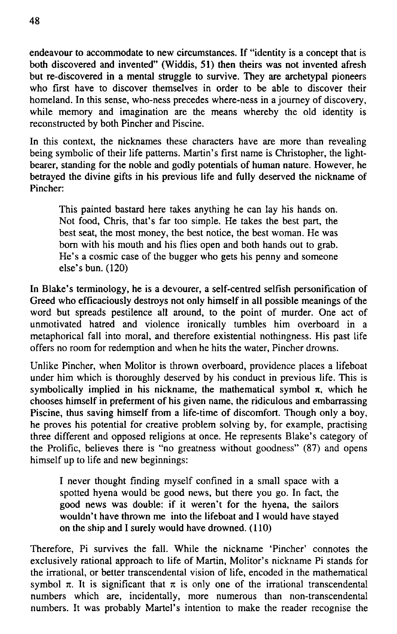endeavour to accommodate to new circumstances. If "identity is a concept that is both discovered and invented" (Widdis, 51) then theirs was not invented afresh but re-discovered in a mental stmggle to survive. They are archetypal pioneers who first have to discover themselves in order to be able to discover their homeland. In this sense, who-ness precedes where-ness in a joumey of discovery, while memory and imagination are the means whereby the old identity is reconstructed by both Pincher and Piscine.

In this context, the nicknames these characters have are more than revealing being symbolic of their life pattems. Martin's first name is Christopher, the lightbearer, standing for the noble and godly potentials of human nature. However, he betrayed the divine gifts in his previous life and fully deserved the nickname of Pincher:

This painted bastard here takes anything he can lay his hands on. Not food, Chris, that's far too simple. He takes the best part, the best seat, the most money, the best notice, the best woman. He was bom with his mouth and his flies open and both hands out to grab. He's a cosmic case of the bugger who gets his penny and someone else's bun. (120)

In Blake's terminology, he is a devourer, a self-centred selfish personification of Greed who efficaciously destroys not only himself in all possible meanings of the word but spreads pestilence all around, to the point of murder. One act of unmotivated hatred and violence ironically tumbles him overboard in a metaphorical fall into moral, and therefore existential nothingness. His past life offers no room for redemption and when he hits the water, Pincher drowns.

Unlike Pincher, when Molitor is thrown overboard, providence places a lifeboat under him which is thoroughly deserved by his conduct in previous life. This is symbolically implied in his nickname, the mathematical symbol  $\pi$ , which he chooses himself in preferment of his given name, the ridiculous and embarrassing Piscine, thus saving himself from a life-time of discomfort. Though only a boy, he proves his potential for creative problem solving by, for example, practising three different and opposed religions at once. He represents Blake's category of the Prolific, believes there is "no greatness without goodness" (87) and opens himself up to life and new beginnings:

I never thought finding myself confined in a small space with a spotted hyena would be good news, but there you go. In fact, the good news was double: if it weren't for the hyena, the sailors wouldn't have thrown me into the lifeboat and I would have stayed on the ship and I surely would have drowned. (110)

Therefore, Pi survives the fall. While the nickname 'Pincher' connotes the exclusively rational approach to life of Martin, Molitor's nickname Pi stands for the irrational, or better transcendental vision of life, encoded in the mathematical symbol  $\pi$ . It is significant that  $\pi$  is only one of the irrational transcendental numbers which are, incidentally, more numerous than non-transcendental numbers. It was probably Martel's intention to make the reader recognise the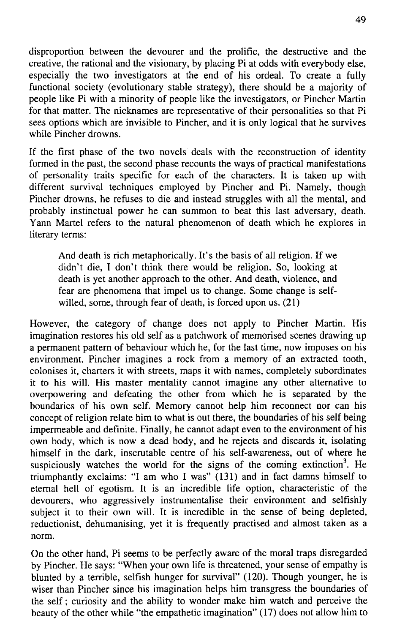disproportion between the devourer and the prolific, the destructive and the creative, the rational and the visionary, by placing Pi at odds with everybody else, especially the two investigators at the end of his ordeal. To create a fully functional society (evolutionary stable strategy), there should be a majority of people like Pi with a minority of people like the investigators, or Pincher Martin for that matter. The nicknames are representative of their personalities so that Pi sees options which are invisible to Pincher, and it is only logical that he survives while Pincher drowns.

If the first phase of the two novels deals with the reconstruction of identity formed in the past, the second phase recounts the ways of practical manifestations of personality traits specific for each of the characters. It is taken up with different survival techniques employed by Pincher and Pi. Namely, though Pincher drowns, he refuses to die and instead struggles with all the mental, and probably instinctual power he can summon to beat this last adversary, death. Yann Martel refers to the natural phenomenon of death which he explores in literary terms:

And death is rich metaphorically. Iť s the basis of all religion. If we didn't die, I don't think there would be religion. So, looking at death is yet another approach to the other. And death, violence, and fear are phenomena that impel us to change. Some change is selfwilled, some, through fear of death, is forced upon us. (21)

However, the category of change does not apply to Pincher Martin. His imagination restores his old self as a patchwork of memorised scenes drawing up a permanent pattern of behaviour which he, for the last time, now imposes on his environment. Pincher imagines a rock from a memory of an extracted tooth, colonises it, charters it with streets, maps it with names, completely subordinates it to his will. His master mentality cannot imagine any other alternative to overpowering and defeating the other from which he is separated by the boundaries of his own self. Memory cannot help him reconnect nor can his concept of religion relate him to what is out there, the boundaries of his self being impermeable and definite. Finally, he cannot adapt even to the environment of his own body, which is now a dead body, and he rejects and discards it, isolating himself in the dark, inscrutable centre of his self-awareness, out of where he suspiciously watches the world for the signs of the coming extinction<sup>3</sup>. He triumphantly exclaims: "I am who I was" (131) and in fact damns himself to etemal hell of egotism. It is an incredible life option, characteristic of the devourers, who aggressively instrumentalise their environment and selfishly subject it to their own will. It is incredible in the sense of being depleted, reductionist, dehumanising, yet it is frequently practised and almost taken as a norm.

On the other hand, Pi seems to be perfectly aware of the moral traps disregarded by Pincher. He says: "When your own life is threatened, your sense of empathy is blunted by a terrible, selfish hunger for survival" (120). Though younger, he is wiser than Pincher since his imagination helps him transgress the boundaries of the self; curiosity and the ability to wonder make him watch and perceive the beauty of the other while "the empathetic imagination" (17) does not allow him to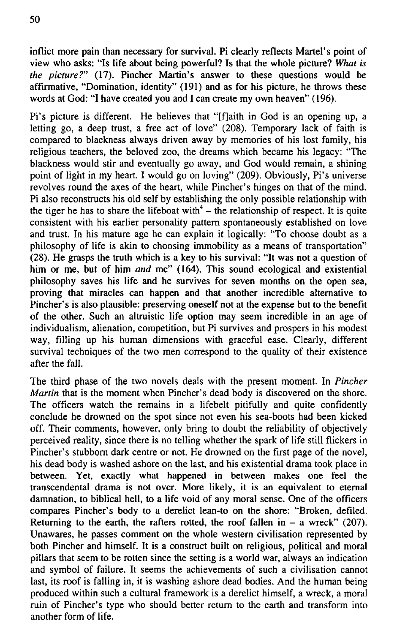inflict more pain than necessary for survival. Pi clearly reflects Martel's point of view who asks: "Is life about being powerful? Is that the whole picture? *What is the picture?"* (17). Pincher Martin's answer to these questions would be affirmative, "Domination, identity" (191) and as for his picture, he throws these words at God: "I have created you and I can create my own heaven" (196).

Pi's picture is different. He believes that "[f]aith in God is an opening up, a letting go, a deep trust, a free act of love" (208). Temporary lack of faith is compared to blackness always driven away by memories of his lost family, his religious teachers, the beloved zoo, the dreams which became his legacy: "The blackness would stir and eventually go away, and God would remain, a shining point of light in my heart. I would go on loving" (209). Obviously, Pi's universe revolves round the axes of the heart, while Pincher's hinges on that of the mind. Pi also reconstructs his old self by establishing the only possible relationship with the tiger he has to share the lifeboat with  $4$  – the relationship of respect. It is quite consistent with his earlier personality pattern spontaneously established on love and trust. In his mature age he can explain it logically: "To choose doubt as a philosophy of life is akin to choosing immobility as a means of transportation" (28). He grasps the truth which is a key to his survival: "It was not a question of him or me, but of him *and* me" (164). This sound ecological and existential philosophy saves his life and he survives for seven months on the open sea, proving that miracles can happen and that another incredible alternative to Pincher's is also plausible: preserving oneself not at the expense but to the benefit of the other. Such an altruistic life option may seem incredible in an age of individualism, alienation, competition, but Pi survives and prospers in his modest way, filling up his human dimensions with graceful ease. Clearly, different survival techniques of the two men correspond to the quality of their existence after the fall.

The third phase of the two novels deals with the present moment. In *Pincher Martin* that is the moment when Pincher's dead body is discovered on the shore. The officers watch the remains in a lifebelt pitifully and quite confidently conclude he drowned on the spot since not even his sea-boots had been kicked off. Their comments, however, only bring to doubt the reliability of objectively perceived reality, since there is no telling whether the spark of life still flickers in Pincher's stubbom dark centre or not. He drowned on the first page of the novel, his dead body is washed ashore on the last, and his existential drama took place in between. Yet, exactly what happened in between makes one feel the transcendental drama is not over. More likely, it is an equivalent to eternal damnation, to biblical hell, to a life void of any moral sense. One of the officers compares Pincher's body to a derelict lean-to on the shore: "Broken, defiled. Returning to the earth, the rafters rotted, the roof fallen in  $-$  a wreck" (207). Unawares, he passes comment on the whole western civilisation represented by both Pincher and himself. It is a construct built on religious, political and moral pillars that seem to be rotten since the setting is a world war, always an indication and symbol of failure. It seems the achievements of such a civilisation cannot last, its roof is falling in, it is washing ashore dead bodies. And the human being produced within such a cultural framework is a derelict himself, a wreck, a moral ruin of Pincher's type who should better return to the earth and transform into another form of life.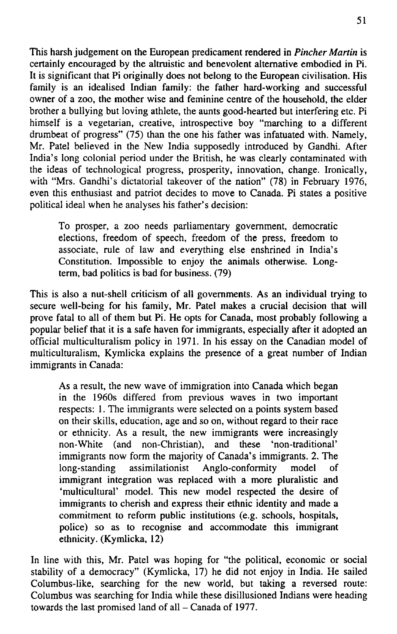This harsh judgement on the European predicament rendered in *Pincher Martin* is certainly encouraged by the altruistic and benevolent alternative embodied in Pi. It is significant that Pi originally does not belong to the European civilisation. His family is an idealised Indian family: the father hard-working and successful owner of a zoo, the mother wise and feminine centre of the household, the elder brother a bullying but loving athlete, the aunts good-hearted but interfering etc. Pi himself is a vegetarian, creative, introspective boy "marching to a different drumbeat of progress" (75) than the one his father was infatuated with. Namely, Mr. Patel believed in the New India supposedly introduced by Gandhi. After India's long colonial period under the British, he was clearly contaminated with the ideas of technological progress, prosperity, innovation, change. Ironically, with "Mrs. Gandhi's dictatorial takeover of the nation" (78) in February 1976, even this enthusiast and patriot decides to move to Canada. Pi states a positive political ideál when he analyses his father's decision:

To prosper, a zoo needs parliamentary government, democratic elections, freedom of speech, freedom of the press, freedom to associate, rule of law and everything else enshrined in India's Constitution. Impossible to enjoy the animals otherwise. Longterm, bad politics is bad for business. (79)

This is also a nut-shell criticism of all governments. As an individual trying to secure well-being for his family, Mr. Patel makes a cmcial decision that will prove fatal to all of them but Pi. He opts for Canada, most probably following a popular belief that it is a safe haven for immigrants, especially after it adopted an official multiculturalism policy in 1971. In his essay on the Canadian model of multiculturalism, Kymlicka explains the presence of a great number of Indián immigrants in Canada:

As a result, the new wave of immigration into Canada which began in the 1960s differed from previous waves in two important respects: 1. The immigrants were selected on a points system based on their skills, education, age and so on, without regard to their race or ethnicity. As a result, the new immigrants were increasingly non-White (and non-Christian), and these 'non-traditional' immigrants now form the majority of Canada's immigrants. 2. The long-standing assimilationist Anglo-conformity model immigrant integration was replaced with a more pluralistic and 'multicultural' model. This new model respected the desire of immigrants to cherish and express their ethnic identity and made a commitment to reform public institutions (e.g. schools, hospitals, police) so as to recognise and accommodate this immigrant ethnicity. (Kymlicka, 12)

In line with this, Mr. Patel was hoping for "the political, economic or sociál stability of a democracy" (Kymlicka, 17) he did not enjoy in India. He sailed Columbus-like, searching for the new world, but taking a reversed route: Columbus was searching for India while these disillusioned Indians were heading towards the last promised land of all - Canada of 1977.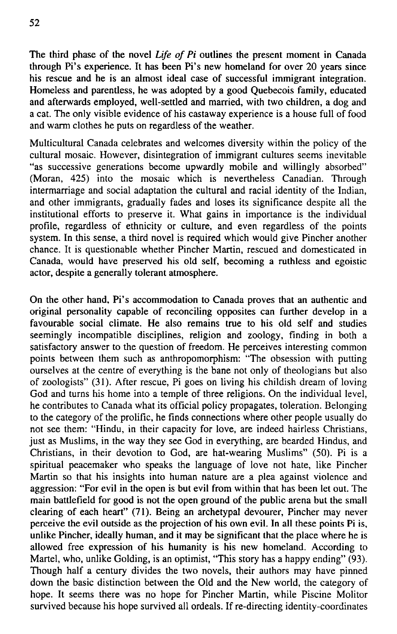The third phase of the novel *Life of Pi* outlines the present moment in Canada through Pi's experience. It has been Pi's new homeland for over 20 years since his rescue and he is an almost ideal case of successful immigrant integration. Homeless and parentless, he was adopted by a good Quebecois family, educated and afterwards employed, well-settled and married, with two children, a dog and a cat. The only visible evidence of his castaway experience is a house full of food and warm clothes he puts on regardless of the weather.

Multicultural Canada celebrates and welcomes diversity within the policy of the cultural mosaic. However, disintegration of immigrant cultures seems inevitable "as successive generations become upwardly mobile and willingly absorbed" (Moran, 425) into the mosaic which is nevertheless Canadian. Through intermarriage and social adaptation the cultural and racial identity of the Indian, and other immigrants, gradually fades and loses its significance despite all the institutional efforts to preserve it. What gains in importance is the individual profile, regardless of ethnicity or culture, and even regardless of the points system. In this sense, a third novel is required which would give Pincher another chance. It is questionable whether Pincher Martin, rescued and domesticated in Canada, would have preserved his old self, becoming a ruthless and egoistic actor, despite a generally tolerant atmosphere.

On the other hand, Pi's accommodation to Canada proves that an authentic and originál personality capable of reconciling opposites can further develop in a favourable social climate. He also remains true to his old self and studies seemingly incompatible disciplines, religion and zoology, finding in both a satisfactory answer to the question of freedom. He perceives interesting common points between them such as anthropomorphism: "The obsession with putting ourselves at the centre of everything is the bane not only of theologians but also of zoologists" (31). After rescue, Pi goes on living his childish dream of loving God and turns his home into a temple of three religions. On the individual level, he contributes to Canada what its official policy propagates, toleration. Belonging to the category of the prolific, he finds connections where other people usually do not see them: "Hindu, in their capacity for love, are indeed hairless Christians, just as Muslims, in the way they see God in everything, are bearded Hindus, and Christians, in their devotion to God, are hat-wearing Muslims" (50). Pi is a spiritual peacemaker who speaks the language of love not hate, like Pincher Martin so that his insights into human nature are a plea against violence and aggression: "For evil in the open is but evil from within that has been let out. The main battlefield for good is not the open ground of the public arena but the small clearing of each heart" (71). Being an archetypal devourer, Pincher may never perceive the evil outside as the projection of his own evil. In all these points Pi is, unlike Pincher, ideally human, and it may be significant that the place where he is allowed free expression of his humanity is his new homeland. According to Martel, who, unlike Golding, is an optimist, "This story has a happy ending" (93). Though half a century divides the two novels, their authors may have pinned down the basic distinction between the Old and the New world, the category of hope. It seems there was no hope for Pincher Martin, while Piscine Molitor survived because his hope survived all ordeals. If re-directing identity-coordinates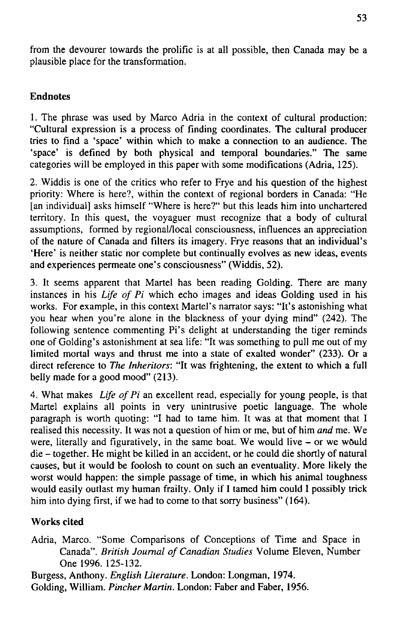from the devourer towards the prolific is at all possible, then Canada may be a plausible place for the transformation.

### Endnotes

1. The phrase was used by Marco Adria in the context of cultural production: "Cultural expression is a process of finding coordinates. The cultural producer tries to find a 'space' within which to make a connection to an audience. The 'space' is defined by both physical and temporal boundaries." The same categories will be employed in this paper with some modifications (Adria, 125).

2. Widdis is one of the critics who refer to Frye and his question of the highest priority: Where is here?, within the context of regional borders in Canada: "He [an individual] asks himself "Where is here?" but this leads him into unchartered territory. In this quest, the voyaguer must recognize that a body of cultural assumptions, formed by regional/local consciousness, influences an appreciation of the nature of Canada and filters its imagery. Frye reasons that an individual's 'Here' is neither static nor complete but continually evolves as new ideas, events and experiences permeate one's consciousness" (Widdis, 52).

3. It seems apparent that Martel has been reading Golding. There are many instances in his *Life of Pi* which echo images and ideas Golding used in his works. For example, in this context Martel's narrator says: "It's astonishing what you hear when you're alone in the blackness of your dying mind" (242). The following sentence commenting Pi's delight at understanding the tiger reminds one of Golding's astonishment at sea life: "It was something to pull me out of my limited mortal ways and thrust me into a state of exalted wonder"  $(233)$ . Or a direct reference to *The Inheritors:* "It was frightening, the extent to which a full belly made for a good mood" (213).

4. What makes *Life of Pi* an excellent read, especially for young people, is that Martel explains all points in very unintrusive poetic language. The whole paragraph is worth quoting: "I had to tame him. It was at that moment that I realised this necessity. It was not a question of him or me, but of him *and* me. We were, literally and figuratively, in the same boat. We would live - or we would die - together. He might be killed in an accident, or he could die shortly of natural causes, but it would be foolosh to count on such an eventuality. More likely the worst would happen: the simple passage of time, in which his animal toughness would easily outlast my human frailty. Only if I tamed him could I possibly triek him into dying first, if we had to come to that sorry business" (164).

## Works cited

Adria, Marco. "Some Comparisons of Conceptions of Time and Space in Canada". *British Journal of Canadian Studies* Volume Eleven, Number One 1996. 125-132.

Burgess, Anthony. *English Literatuře.* London: Longman, 1974. Golding, William. *Pincher Martin.* London: Faber and Faber, 1956.